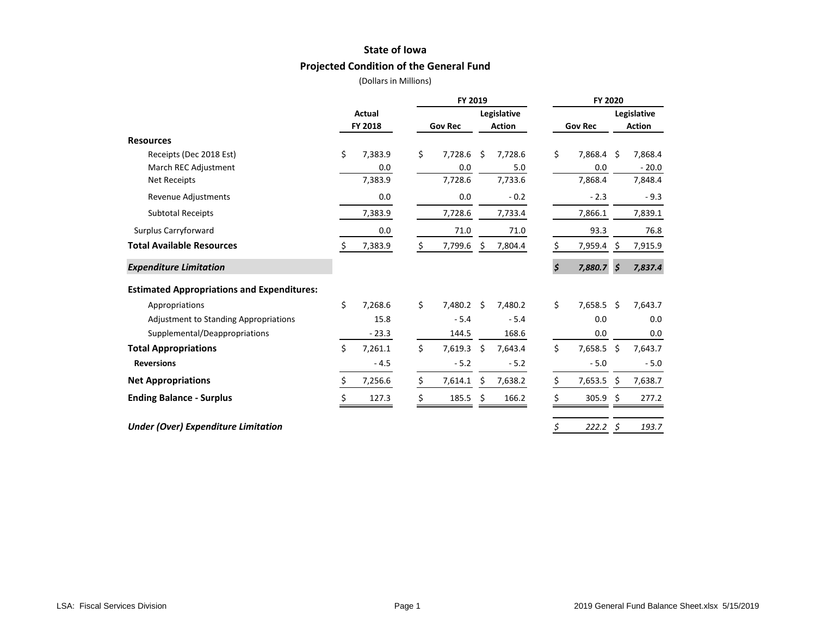### **State of Iowa**

# **Projected Condition of the General Fund**

|                                                   |    |                |    | FY 2019        |      |               |                | FY 2020      |               |             |
|---------------------------------------------------|----|----------------|----|----------------|------|---------------|----------------|--------------|---------------|-------------|
|                                                   |    | Actual         |    | Legislative    |      |               |                |              |               | Legislative |
|                                                   |    | <b>FY 2018</b> |    | <b>Gov Rec</b> |      | <b>Action</b> | <b>Gov Rec</b> |              | <b>Action</b> |             |
| <b>Resources</b>                                  |    |                |    |                |      |               |                |              |               |             |
| Receipts (Dec 2018 Est)                           | \$ | 7,383.9        | \$ | 7,728.6        | Ś    | 7,728.6       | \$             | 7,868.4 \$   |               | 7,868.4     |
| March REC Adjustment                              |    | 0.0            |    | 0.0            |      | 5.0           |                | 0.0          |               | $-20.0$     |
| Net Receipts                                      |    | 7,383.9        |    | 7,728.6        |      | 7,733.6       |                | 7,868.4      |               | 7,848.4     |
| Revenue Adjustments                               |    | 0.0            |    | 0.0            |      | $-0.2$        |                | $-2.3$       |               | $-9.3$      |
| <b>Subtotal Receipts</b>                          |    | 7,383.9        |    | 7,728.6        |      | 7,733.4       |                | 7,866.1      |               | 7,839.1     |
| Surplus Carryforward                              |    | 0.0            |    | 71.0           |      | 71.0          |                | 93.3         |               | 76.8        |
| <b>Total Available Resources</b>                  | \$ | 7,383.9        | \$ | 7,799.6        | \$   | 7,804.4       | \$             | 7,959.4      | S             | 7,915.9     |
| <b>Expenditure Limitation</b>                     |    |                |    |                |      |               | \$             | 7,880.7      | $\mathsf{S}$  | 7,837.4     |
| <b>Estimated Appropriations and Expenditures:</b> |    |                |    |                |      |               |                |              |               |             |
| Appropriations                                    | \$ | 7,268.6        | \$ | 7,480.2        | - \$ | 7,480.2       | \$             | 7,658.5 \$   |               | 7,643.7     |
| <b>Adjustment to Standing Appropriations</b>      |    | 15.8           |    | $-5.4$         |      | $-5.4$        |                | 0.0          |               | 0.0         |
| Supplemental/Deappropriations                     |    | $-23.3$        |    | 144.5          |      | 168.6         |                | 0.0          |               | 0.0         |
| <b>Total Appropriations</b>                       | \$ | 7,261.1        | \$ | 7,619.3        | \$   | 7,643.4       | \$             | 7,658.5 \$   |               | 7,643.7     |
| <b>Reversions</b>                                 |    | $-4.5$         |    | $-5.2$         |      | $-5.2$        |                | $-5.0$       |               | $-5.0$      |
| <b>Net Appropriations</b>                         | Ś  | 7,256.6        | Ś. | 7,614.1        | \$   | 7,638.2       | \$             | $7,653.5$ \$ |               | 7,638.7     |
| <b>Ending Balance - Surplus</b>                   | \$ | 127.3          | Ś. | 185.5          | \$   | 166.2         | \$             | 305.9        | \$            | 277.2       |
| <b>Under (Over) Expenditure Limitation</b>        |    |                |    |                |      |               | \$             | 222.2        | \$            | 193.7       |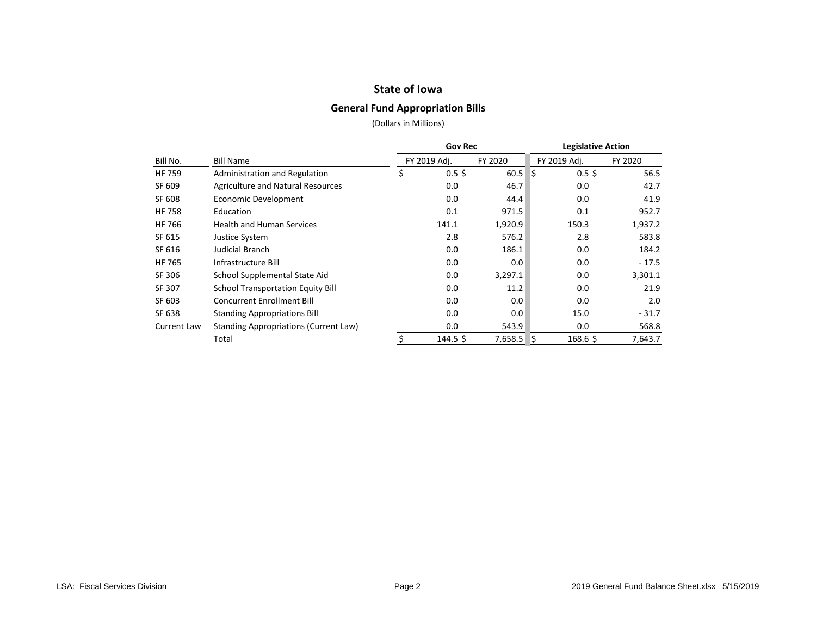### **State of Iowa**

### **General Fund Appropriation Bills**

|               |                                              | <b>Gov Rec</b>   |         | <b>Legislative Action</b> |         |  |  |
|---------------|----------------------------------------------|------------------|---------|---------------------------|---------|--|--|
| Bill No.      | <b>Bill Name</b>                             | FY 2019 Adj.     | FY 2020 | FY 2019 Adj.              | FY 2020 |  |  |
| <b>HF 759</b> | Administration and Regulation                | \$<br>$0.5$ \$   | 60.5    | l\$<br>0.5 <sup>5</sup>   | 56.5    |  |  |
| SF 609        | <b>Agriculture and Natural Resources</b>     | 0.0              | 46.7    | 0.0                       | 42.7    |  |  |
| SF 608        | Economic Development                         | 0.0              | 44.4    | 0.0                       | 41.9    |  |  |
| <b>HF 758</b> | Education                                    | 0.1              | 971.5   | 0.1                       | 952.7   |  |  |
| HF 766        | <b>Health and Human Services</b>             | 141.1            | 1,920.9 | 150.3                     | 1,937.2 |  |  |
| SF 615        | Justice System                               | 2.8              | 576.2   | 2.8                       | 583.8   |  |  |
| SF 616        | Judicial Branch                              | 0.0              | 186.1   | 0.0                       | 184.2   |  |  |
| <b>HF 765</b> | Infrastructure Bill                          | 0.0              | 0.0     | 0.0                       | $-17.5$ |  |  |
| SF 306        | School Supplemental State Aid                | 0.0              | 3,297.1 | 0.0                       | 3,301.1 |  |  |
| SF 307        | <b>School Transportation Equity Bill</b>     | 0.0              | 11.2    | 0.0                       | 21.9    |  |  |
| SF 603        | <b>Concurrent Enrollment Bill</b>            | 0.0              | 0.0     | 0.0                       | 2.0     |  |  |
| SF 638        | <b>Standing Appropriations Bill</b>          | 0.0              | 0.0     | 15.0                      | $-31.7$ |  |  |
| Current Law   | <b>Standing Appropriations (Current Law)</b> | 0.0              | 543.9   | 0.0                       | 568.8   |  |  |
|               | Total                                        | $144.5 \text{ }$ | 7,658.5 | I\$<br>168.6 \$           | 7,643.7 |  |  |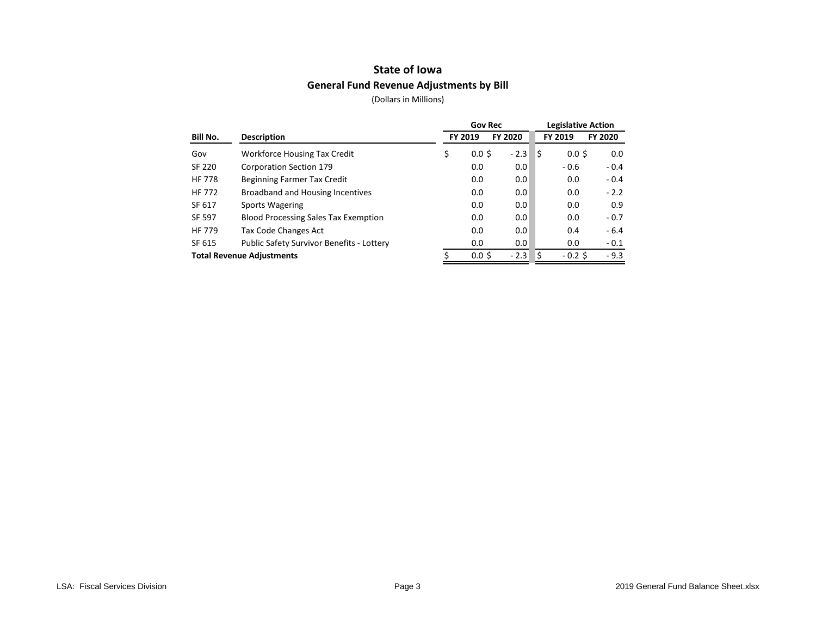## **State of Iowa General Fund Revenue Adjustments by Bill**

|                                  |                                             | <b>Gov Rec</b>         |         | <b>Legislative Action</b> |                  |         |  |  |
|----------------------------------|---------------------------------------------|------------------------|---------|---------------------------|------------------|---------|--|--|
| Bill No.                         | <b>Description</b>                          | FY 2019                | FY 2020 |                           | FY 2019          | FY 2020 |  |  |
| Gov                              | <b>Workforce Housing Tax Credit</b>         | \$<br>0.0 <sup>5</sup> | $-2.3$  | I\$                       | 0.0 <sup>5</sup> | 0.0     |  |  |
| <b>SF 220</b>                    | Corporation Section 179                     | 0.0                    | 0.0     |                           | $-0.6$           | $-0.4$  |  |  |
| <b>HF 778</b>                    | Beginning Farmer Tax Credit                 | 0.0                    | 0.0     |                           | 0.0              | $-0.4$  |  |  |
| <b>HF 772</b>                    | Broadband and Housing Incentives            | 0.0                    | 0.0     |                           | 0.0              | $-2.2$  |  |  |
| SF 617                           | <b>Sports Wagering</b>                      | 0.0                    | 0.0     |                           | 0.0              | 0.9     |  |  |
| <b>SF 597</b>                    | <b>Blood Processing Sales Tax Exemption</b> | 0.0                    | 0.0     |                           | 0.0              | $-0.7$  |  |  |
| <b>HF 779</b>                    | Tax Code Changes Act                        | 0.0                    | 0.0     |                           | 0.4              | $-6.4$  |  |  |
| SF 615                           | Public Safety Survivor Benefits - Lottery   | 0.0                    | 0.0     |                           | 0.0              | $-0.1$  |  |  |
| <b>Total Revenue Adjustments</b> |                                             | $0.0 \,$ \$            | $-2.3$  | \$                        | $-0.2$ \$        | $-9.3$  |  |  |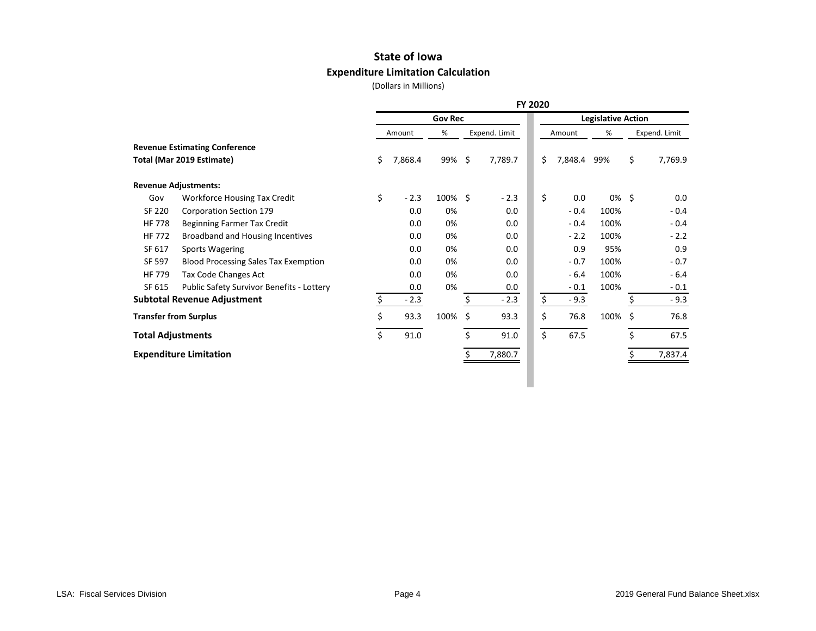# **State of Iowa Expenditure Limitation Calculation**

|                                             |    |         |        | <b>Legislative Action</b> |                   |               |        |        |               |          |
|---------------------------------------------|----|---------|--------|---------------------------|-------------------|---------------|--------|--------|---------------|----------|
| <b>Revenue Estimating Conference</b>        |    |         | %      |                           |                   |               |        | %      | Expend. Limit |          |
|                                             |    |         |        |                           |                   |               |        |        |               |          |
| Total (Mar 2019 Estimate)                   | \$ | 7,868.4 |        |                           | 7,789.7           | \$            |        | 99%    | \$            | 7,769.9  |
| <b>Revenue Adjustments:</b>                 |    |         |        |                           |                   |               |        |        |               |          |
| <b>Workforce Housing Tax Credit</b>         | \$ | $-2.3$  |        |                           | $-2.3$            | \$            | 0.0    |        |               | 0.0      |
| Corporation Section 179                     |    | 0.0     | 0%     |                           | 0.0               |               | $-0.4$ | 100%   |               | $-0.4$   |
| Beginning Farmer Tax Credit                 |    | 0.0     | 0%     |                           | 0.0               |               | $-0.4$ | 100%   |               | $-0.4$   |
| Broadband and Housing Incentives            |    | 0.0     | 0%     |                           | 0.0               |               | $-2.2$ | 100%   |               | $-2.2$   |
| <b>Sports Wagering</b>                      |    | 0.0     | 0%     |                           | 0.0               |               | 0.9    | 95%    |               | 0.9      |
| <b>Blood Processing Sales Tax Exemption</b> |    | 0.0     | 0%     |                           | 0.0               |               | $-0.7$ | 100%   |               | $-0.7$   |
| <b>Tax Code Changes Act</b>                 |    | 0.0     | 0%     |                           | 0.0               |               | $-6.4$ | 100%   |               | $-6.4$   |
| Public Safety Survivor Benefits - Lottery   |    | 0.0     | 0%     |                           | 0.0               |               | $-0.1$ | 100%   |               | $-0.1$   |
| <b>Subtotal Revenue Adjustment</b>          | Ś. | $-2.3$  |        | \$                        | $-2.3$            | \$            | $-9.3$ |        | \$            | $-9.3$   |
| <b>Transfer from Surplus</b>                | \$ | 93.3    | 100%   | \$                        | 93.3              | \$            | 76.8   | 100%   | \$            | 76.8     |
| <b>Total Adjustments</b>                    | \$ | 91.0    |        | Ś.                        | 91.0              | \$            | 67.5   |        | \$            | 67.5     |
| <b>Expenditure Limitation</b>               |    |         |        |                           | 7,880.7           |               |        |        |               | 7,837.4  |
|                                             |    |         | Amount |                           | 99% \$<br>100% \$ | Expend. Limit |        | Amount | 7,848.4       | $0\%$ \$ |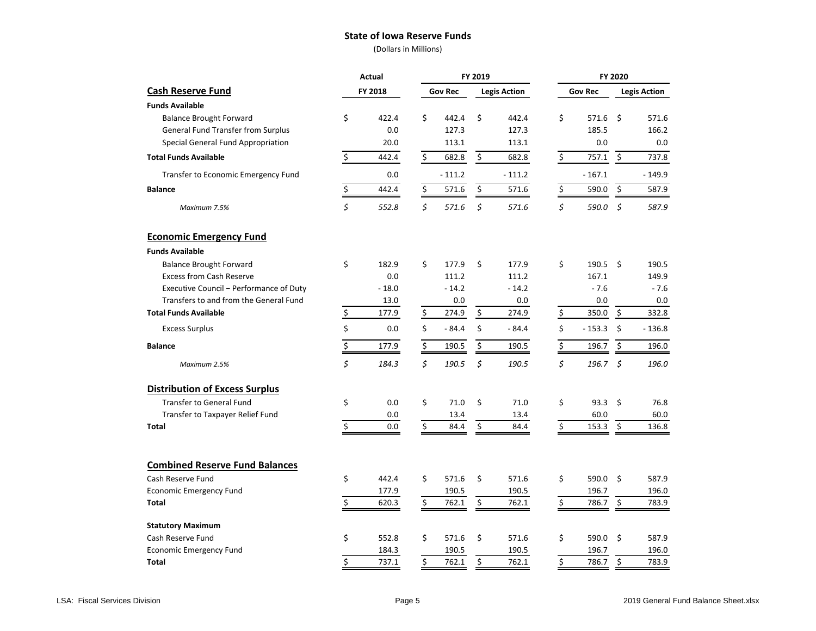#### **State of Iowa Reserve Funds**

|                                         | Actual |         |                  |                | FY 2019 |                     | FY 2020 |                |          |                     |  |
|-----------------------------------------|--------|---------|------------------|----------------|---------|---------------------|---------|----------------|----------|---------------------|--|
| <b>Cash Reserve Fund</b>                |        | FY 2018 |                  | <b>Gov Rec</b> |         | <b>Legis Action</b> |         | <b>Gov Rec</b> |          | <b>Legis Action</b> |  |
| <b>Funds Available</b>                  |        |         |                  |                |         |                     |         |                |          |                     |  |
| <b>Balance Brought Forward</b>          | \$     | 422.4   | \$               | 442.4          | \$      | 442.4               | \$      | 571.6          | \$       | 571.6               |  |
| General Fund Transfer from Surplus      |        | 0.0     |                  | 127.3          |         | 127.3               |         | 185.5          |          | 166.2               |  |
| Special General Fund Appropriation      |        | 20.0    |                  | 113.1          |         | 113.1               |         | 0.0            |          | 0.0                 |  |
| <b>Total Funds Available</b>            | \$     | 442.4   | \$               | 682.8          | \$      | 682.8               | \$      | 757.1          | \$       | 737.8               |  |
| Transfer to Economic Emergency Fund     |        | 0.0     |                  | $-111.2$       |         | $-111.2$            |         | $-167.1$       |          | $-149.9$            |  |
| <b>Balance</b>                          | \$     | 442.4   | \$               | 571.6          | \$      | 571.6               | \$      | 590.0          | \$       | 587.9               |  |
| Maximum 7.5%                            | \$     | 552.8   | \$               | 571.6          | \$      | 571.6               | \$      | 590.0          | \$       | 587.9               |  |
| <b>Economic Emergency Fund</b>          |        |         |                  |                |         |                     |         |                |          |                     |  |
| <b>Funds Available</b>                  |        |         |                  |                |         |                     |         |                |          |                     |  |
| <b>Balance Brought Forward</b>          | \$     | 182.9   | \$               | 177.9          | \$      | 177.9               | \$      | 190.5          | \$       | 190.5               |  |
| <b>Excess from Cash Reserve</b>         |        | 0.0     |                  | 111.2          |         | 111.2               |         | 167.1          |          | 149.9               |  |
| Executive Council - Performance of Duty |        | $-18.0$ |                  | $-14.2$        |         | $-14.2$             |         | $-7.6$         |          | $-7.6$              |  |
| Transfers to and from the General Fund  |        | 13.0    |                  | 0.0            |         | 0.0                 |         | 0.0            |          | 0.0                 |  |
| <b>Total Funds Available</b>            | \$     | 177.9   | \$               | 274.9          | \$      | 274.9               | \$      | 350.0          | \$       | 332.8               |  |
| <b>Excess Surplus</b>                   | \$     | 0.0     | \$               | $-84.4$        | \$      | $-84.4$             | \$      | $-153.3$       | $\zeta$  | $-136.8$            |  |
| <b>Balance</b>                          | \$     | 177.9   | $\overline{\xi}$ | 190.5          | \$      | 190.5               | \$      | 196.7          | \$       | 196.0               |  |
| Maximum 2.5%                            | \$     | 184.3   | \$               | 190.5          | \$      | 190.5               | \$      | 196.7          | $\zeta$  | 196.0               |  |
| <b>Distribution of Excess Surplus</b>   |        |         |                  |                |         |                     |         |                |          |                     |  |
| <b>Transfer to General Fund</b>         | \$     | 0.0     | \$               | 71.0           | \$      | 71.0                | \$      | 93.3           | \$       | 76.8                |  |
| Transfer to Taxpayer Relief Fund        |        | 0.0     |                  | 13.4           |         | 13.4                |         | 60.0           |          | 60.0                |  |
| Total                                   | \$     | 0.0     | \$               | 84.4           | \$      | 84.4                | \$      | 153.3          | <u>ځ</u> | 136.8               |  |
| <b>Combined Reserve Fund Balances</b>   |        |         |                  |                |         |                     |         |                |          |                     |  |
| Cash Reserve Fund                       | \$     | 442.4   | \$               | 571.6          | \$      | 571.6               | \$      | 590.0          | \$       | 587.9               |  |
| <b>Economic Emergency Fund</b>          |        | 177.9   |                  | 190.5          |         | 190.5               |         | 196.7          |          | 196.0               |  |
| <b>Total</b>                            | \$     | 620.3   | \$               | 762.1          | \$      | 762.1               | Ś.      | 786.7          | \$       | 783.9               |  |
| <b>Statutory Maximum</b>                |        |         |                  |                |         |                     |         |                |          |                     |  |
| Cash Reserve Fund                       | \$     | 552.8   | \$               | 571.6          | \$      | 571.6               | \$      | 590.0          | \$       | 587.9               |  |
| <b>Economic Emergency Fund</b>          |        | 184.3   |                  | 190.5          |         | 190.5               |         | 196.7          |          | 196.0               |  |
| Total                                   | \$     | 737.1   | \$               | 762.1          | \$      | 762.1               | \$      | 786.7          | \$       | 783.9               |  |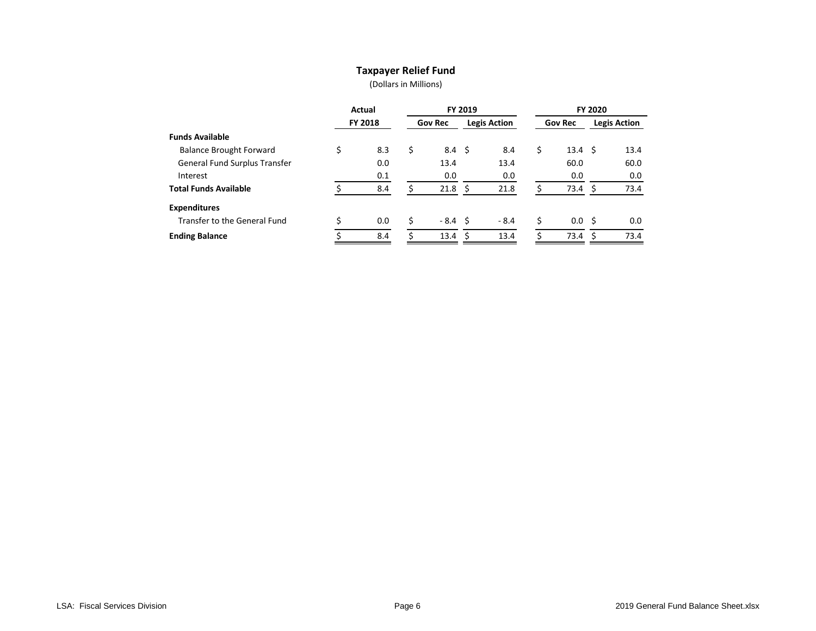### **Taxpayer Relief Fund**

| FY 2019<br>Actual |     |    |                | <b>FY 2020</b> |                                                                |                     |      |    |                                             |
|-------------------|-----|----|----------------|----------------|----------------------------------------------------------------|---------------------|------|----|---------------------------------------------|
| <b>FY 2018</b>    |     |    | <b>Gov Rec</b> |                |                                                                | <b>Gov Rec</b>      |      |    | <b>Legis Action</b>                         |
|                   |     |    |                |                |                                                                |                     |      |    |                                             |
| \$                | 8.3 | \$ |                |                | 8.4                                                            | \$                  |      |    | 13.4                                        |
|                   | 0.0 |    | 13.4           |                | 13.4                                                           |                     | 60.0 |    | 60.0                                        |
|                   | 0.1 |    | 0.0            |                | 0.0                                                            |                     | 0.0  |    | 0.0                                         |
|                   | 8.4 |    |                |                | 21.8                                                           |                     |      | S  | 73.4                                        |
|                   |     |    |                |                |                                                                |                     |      |    |                                             |
| Ś                 | 0.0 | Ś  |                |                | $-8.4$                                                         | \$                  |      |    | 0.0                                         |
|                   | 8.4 |    |                |                | 13.4                                                           |                     | 73.4 | -S | 73.4                                        |
|                   |     |    |                |                | $8.4 \quad$ \$<br>$21.8 \quad$ \$<br>-8.4 \$<br>$13.4 \quad S$ | <b>Legis Action</b> |      |    | $13.4 \quad $5$<br>73.4<br>0.0 <sup>5</sup> |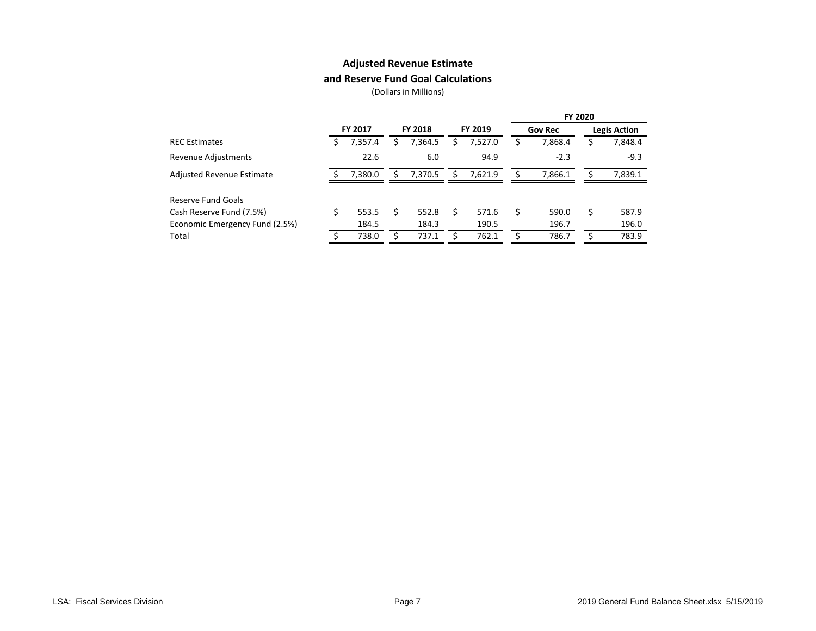### **Adjusted Revenue Estimate**

### **and Reserve Fund Goal Calculations**

|                                |                |         |                |         |         |         |                |         | <b>FY 2020</b> |                     |
|--------------------------------|----------------|---------|----------------|---------|---------|---------|----------------|---------|----------------|---------------------|
|                                | <b>FY 2017</b> |         | <b>FY 2018</b> |         | FY 2019 |         | <b>Gov Rec</b> |         |                | <b>Legis Action</b> |
| <b>REC</b> Estimates           | S              | 7,357.4 |                | 7,364.5 | s       | 7,527.0 | ১              | 7,868.4 |                | 7,848.4             |
| Revenue Adjustments            |                | 22.6    |                | 6.0     |         | 94.9    |                | $-2.3$  |                | $-9.3$              |
| Adjusted Revenue Estimate      |                | 7.380.0 |                | 7,370.5 | S       | 7.621.9 |                | 7.866.1 |                | 7,839.1             |
| Reserve Fund Goals             |                |         |                |         |         |         |                |         |                |                     |
| Cash Reserve Fund (7.5%)       | Ś.             | 553.5   |                | 552.8   | S       | 571.6   | \$             | 590.0   | S              | 587.9               |
| Economic Emergency Fund (2.5%) |                | 184.5   |                | 184.3   |         | 190.5   |                | 196.7   |                | 196.0               |
| Total                          |                | 738.0   |                | 737.1   |         | 762.1   |                | 786.7   |                | 783.9               |